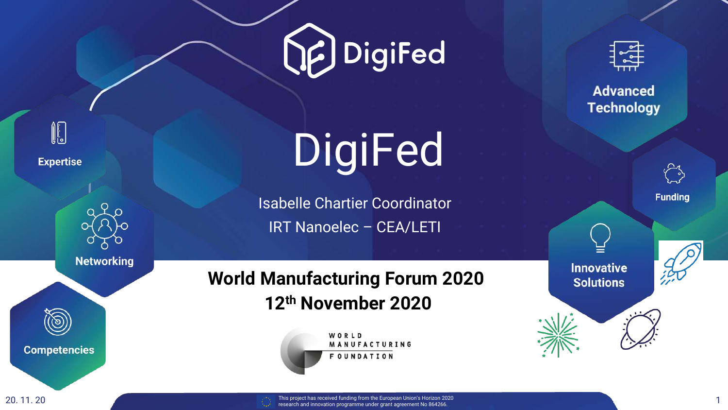



**Expertise** 



**Networking** 

**Competencies** 

# DigiFed

Isabelle Chartier Coordinator IRT Nanoelec – CEA/LETI

### **World Manufacturing Forum 2020 12th November 2020**

WORLD MANUFACTURING **FOUNDATION** 



**Advanced Technology** 



**Funding** 

**Innovative Solutions** 

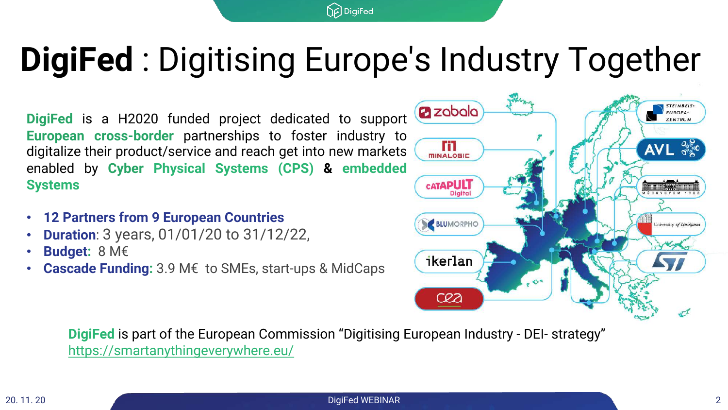### **DigiFed** : Digitising Europe's Industry Together

**P**DigiFed

**DigiFed** is a H2020 funded project dedicated to support **European cross-border** partnerships to foster industry to digitalize their product/service and reach get into new markets enabled by **Cyber Physical Systems (CPS) & embedded Systems**

- **12 Partners from 9 European Countries**
- **Duration**: 3 years, 01/01/20 to 31/12/22,
- **Budget:** 8 M€
- **Cascade Funding:** 3.9 M€ to SMEs, start-ups & MidCaps



**DigiFed** is part of the European Commission "Digitising European Industry - DEI- strategy" <https://smartanythingeverywhere.eu/>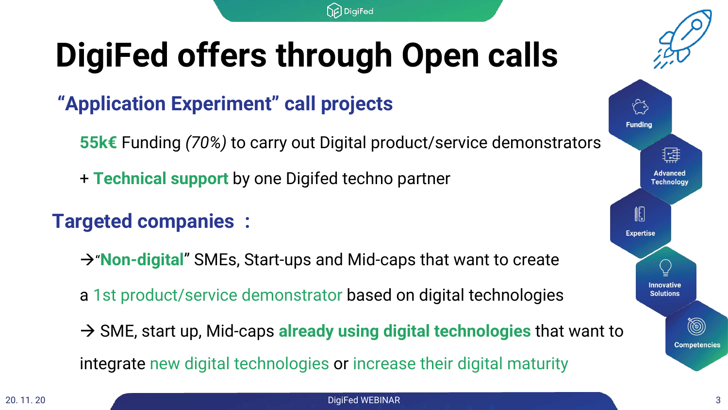### **DigiFed offers through Open calls**

### **"Application Experiment" call projects**

**55k€** Funding *(70%)* to carry out Digital product/service demonstrators

DigiFed

+ **Technical support** by one Digifed techno partner

### **Targeted companies :**

 $\rightarrow$  **Non-digital**" SMEs, Start-ups and Mid-caps that want to create

a 1st product/service demonstrator based on digital technologies

à SME, start up, Mid-caps **already using digital technologies** that want to integrate new digital technologies or increase their digital maturity

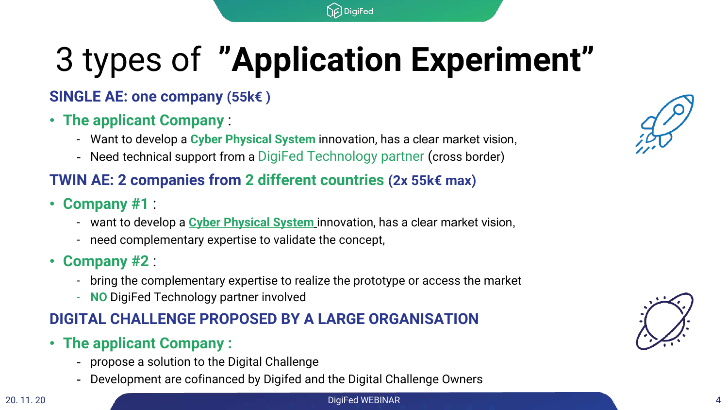## 3 types of **"Application Experiment"**

**P**DigiFed

### **SINGLE AE: one company (55k€ )**

#### • **The applicant Company** :

- Want to develop a **Cyber Physical System** innovation, has a clear market vision,
- Need technical support from a DigiFed Technology partner (cross border)

#### **TWIN AE: 2 companies from 2 different countries (2x 55k€ max)**

- **Company #1** :
	- want to develop a **Cyber Physical System** innovation, has a clear market vision,
	- need complementary expertise to validate the concept,
- **Company #2** :
	- bring the complementary expertise to realize the prototype or access the market
	- **NO** DigiFed Technology partner involved

#### **DIGITAL CHALLENGE PROPOSED BY A LARGE ORGANISATION**

- **The applicant Company :**
	- propose a solution to the Digital Challenge
	- Development are cofinanced by Digifed and the Digital Challenge Owners





#### 20. 11. 20 DigiFed WEBINAR 4